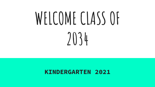# WELCOME CLASS OF **2034**

#### **KINDERGARTEN 2021**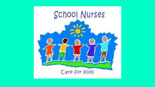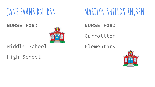**NURSE FOR:**



#### Middle School

High School

### **JANE EVANS RN, BSN MARILYN SHIELDS RN,BSN**

#### **NURSE FOR:**

Carrollton

Elementary

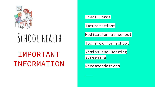

# **School health**

#### IMPORTANT INFORMATION

Final Forms

Immunizations

Medication at school

Too sick for school

Vision and Hearing screening

Recommendations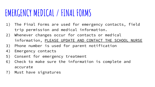#### **EMERGENCY MEDICAL / FINAL FORMS**

- 1) The Final Forms are used for emergency contacts, field trip permission and medical information.
- 2) Whenever changes occur for contacts or medical information, PLEASE UPDATE AND CONTACT THE SCHOOL NURSE
- 3) Phone number is used for parent notification
- 4) Emergency contacts
- 5) Consent for emergency treatment
- 6) Check to make sure the information is complete and accurate
- 7) Must have signatures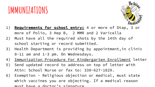### **IMMUNIZATIONS**



- 1) **Requirements for school entry:** 4 or more of Dtap, 3 or more of Polio, 3 Hep B, 2 MMR and 2 Varicella
- 2) Must have all the required shots by the 14th day of school starting or record submitted.
- 3) Health Department is providing by appointment,in clinic 8-11 am and 1-3 pm. On Wednesdays.
- 4) Immunization Procedure For Kindergarten Enrollment letter
- 5) Send updated record to address on top of letter with Attn: School Nurse or fax to: 330-627-1829.
- 6) Exemption Religious objection or medical, must state which vaccines you are objecting. If a medical reason must have a doctor's signature.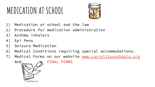## **MEDICATION AT SCHOOL**



- 1) Medication at school and the law
- 2) Procedure for medication administration
- 3) Asthma inhalers
- 4) Epi Pens
- 5) Seizure Medication
- 6) Medical Conditions requiring special accommodations.
- 7) Medical Forms on our website [www.carrolltonschools.org](http://www.carrolltonschools.org)

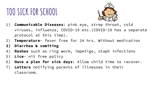#### **TOO SICK FOR SCHOOL**



- 1) **Communicable Diseases**: pink eye, strep throat, cold viruses, influenza, COVID-19 etc.(COVID-19 has a separate protocol at this time).
- 2) **Temperature** fever free for 24 hrs. Without medication
- **3) Diarrhea & vomiting**
- 4) **Rashes** such as ring worm, impetigo, staph infections
- 5) **Lice** nit free policy
- 6) **Have a plan for sick days**: Allow child time to recover.
- 7) **Letters** notifying parents of illnesses in their classroom.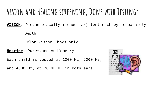#### **Vision and HEaring screening, Done with Testing:**

**VISION**: Distance acuity (monocular) test each eye separately Depth

Color Vision- boys only

**Hearing**: Pure-tone Audiometry

Each child is tested at 1000 Hz, 2000 Hz,

and 4000 Hz, at 20 dB HL in both ears.

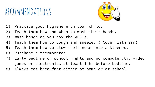#### RECOMMENDATIONS



- 1) Practice good hygiene with your child.
- 2) Teach them how and when to wash their hands.
- 3) Wash hands as you say the ABC's.
- 4) Teach them how to cough and sneeze. ( Cover with arm)
- 5) Teach them how to blow their nose into a kleenex.
- 6) Purchase a thermometer.
- 7) Early bedtime on school nights and no computer,tv, video games or electronics at least 1 hr before bedtime.
- 8) Always eat breakfast either at home or at school.